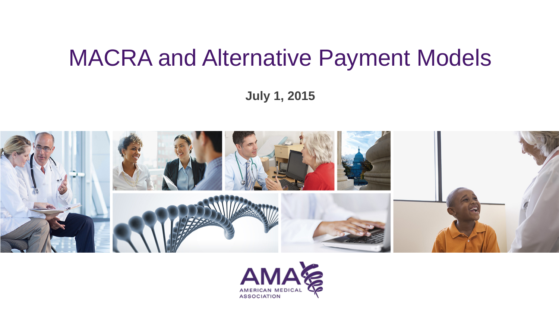## MACRA and Alternative Payment Models

**July 1, 2015**



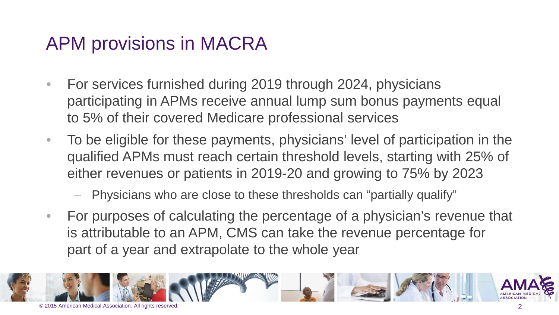### APM provisions in MACRA

- For services furnished during 2019 through 2024, physicians participating in APMs receive annual lump sum bonus payments equal to 5% of their covered Medicare professional services
- To be eligible for these payments, physicians' level of participation in the qualified APMs must reach certain threshold levels, starting with 25% of either revenues or patients in 2019-20 and growing to 75% by 2023
	- Physicians who are close to these thresholds can "partially qualify"
- For purposes of calculating the percentage of a physician's revenue that is attributable to an APM, CMS can take the revenue percentage for part of a year and extrapolate to the whole year

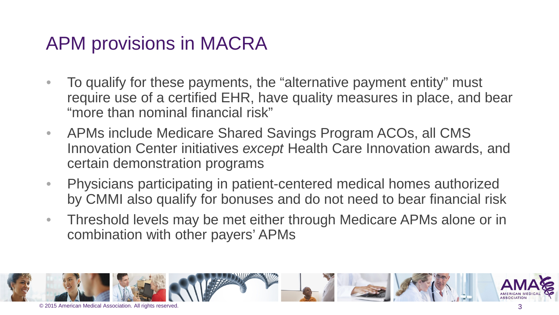### APM provisions in MACRA

- To qualify for these payments, the "alternative payment entity" must require use of a certified EHR, have quality measures in place, and bear "more than nominal financial risk"
- APMs include Medicare Shared Savings Program ACOs, all CMS Innovation Center initiatives *except* Health Care Innovation awards, and certain demonstration programs
- Physicians participating in patient-centered medical homes authorized by CMMI also qualify for bonuses and do not need to bear financial risk
- Threshold levels may be met either through Medicare APMs alone or in combination with other payers' APMs

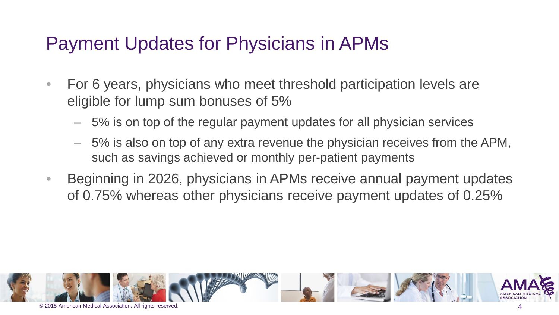### Payment Updates for Physicians in APMs

- For 6 years, physicians who meet threshold participation levels are eligible for lump sum bonuses of 5%
	- 5% is on top of the regular payment updates for all physician services
	- 5% is also on top of any extra revenue the physician receives from the APM, such as savings achieved or monthly per-patient payments
- Beginning in 2026, physicians in APMs receive annual payment updates of 0.75% whereas other physicians receive payment updates of 0.25%

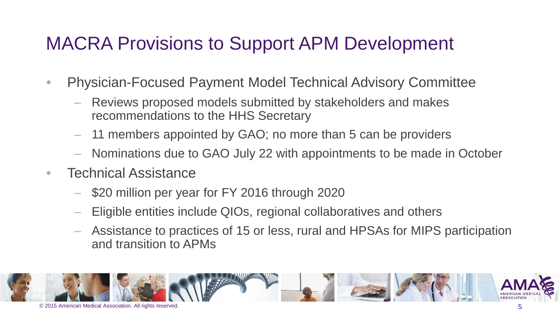### MACRA Provisions to Support APM Development

- Physician-Focused Payment Model Technical Advisory Committee
	- Reviews proposed models submitted by stakeholders and makes recommendations to the HHS Secretary
	- 11 members appointed by GAO; no more than 5 can be providers
	- Nominations due to GAO July 22 with appointments to be made in October
- Technical Assistance
	- \$20 million per year for FY 2016 through 2020
	- Eligible entities include QIOs, regional collaboratives and others
	- Assistance to practices of 15 or less, rural and HPSAs for MIPS participation and transition to APMs

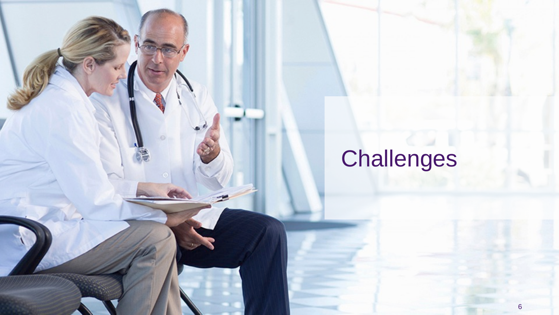# **Challenges**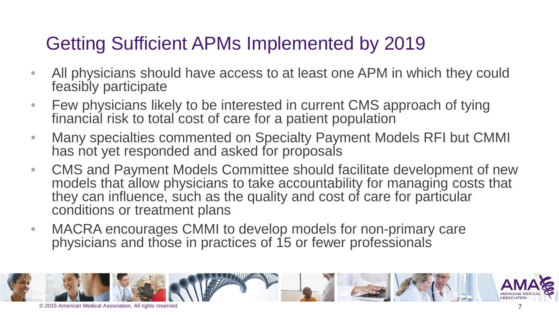### Getting Sufficient APMs Implemented by 2019

- All physicians should have access to at least one APM in which they could feasibly participate
- Few physicians likely to be interested in current CMS approach of tying financial risk to total cost of care for a patient population
- Many specialties commented on Specialty Payment Models RFI but CMMI has not yet responded and asked for proposals
- CMS and Payment Models Committee should facilitate development of new models that allow physicians to take accountability for managing costs that they can influence, such as the quality and cost of care for particular conditions or treatment plans
- MACRA encourages CMMI to develop models for non-primary care physicians and those in practices of 15 or fewer professionals

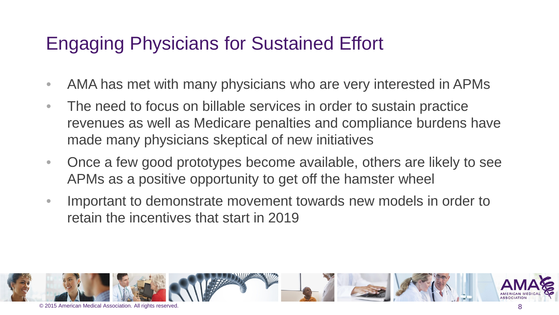### Engaging Physicians for Sustained Effort

- AMA has met with many physicians who are very interested in APMs
- The need to focus on billable services in order to sustain practice revenues as well as Medicare penalties and compliance burdens have made many physicians skeptical of new initiatives
- Once a few good prototypes become available, others are likely to see APMs as a positive opportunity to get off the hamster wheel
- Important to demonstrate movement towards new models in order to retain the incentives that start in 2019

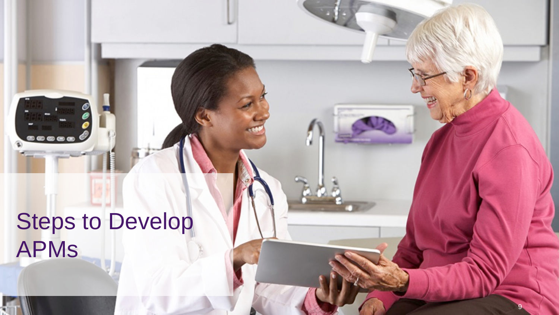# **Steps to Develop** APMs

<u>\_\_\_\_</u>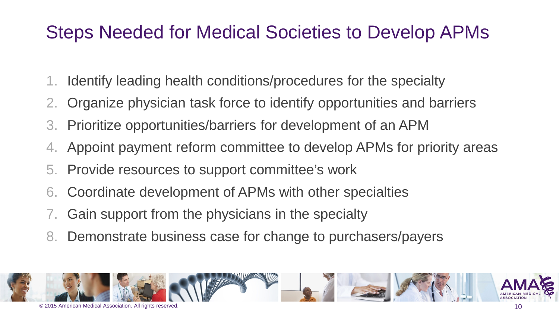### Steps Needed for Medical Societies to Develop APMs

- 1. Identify leading health conditions/procedures for the specialty
- 2. Organize physician task force to identify opportunities and barriers
- 3. Prioritize opportunities/barriers for development of an APM
- 4. Appoint payment reform committee to develop APMs for priority areas
- 5. Provide resources to support committee's work
- 6. Coordinate development of APMs with other specialties
- 7. Gain support from the physicians in the specialty
- 8. Demonstrate business case for change to purchasers/payers

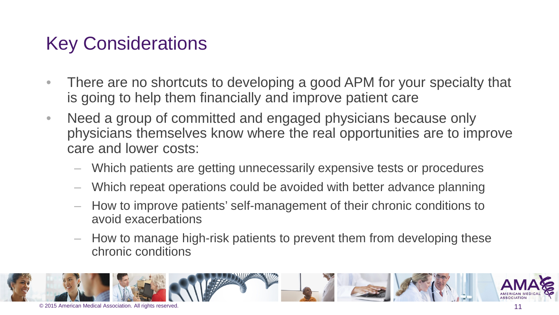### Key Considerations

- There are no shortcuts to developing a good APM for your specialty that is going to help them financially and improve patient care
- Need a group of committed and engaged physicians because only physicians themselves know where the real opportunities are to improve care and lower costs:
	- Which patients are getting unnecessarily expensive tests or procedures
	- Which repeat operations could be avoided with better advance planning
	- How to improve patients' self-management of their chronic conditions to avoid exacerbations
	- How to manage high-risk patients to prevent them from developing these chronic conditions

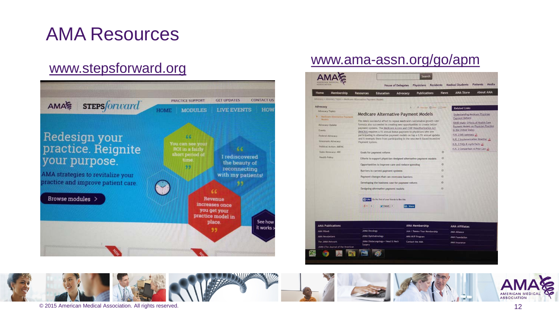### AMA Resources



### [www.stepsforward.org](http://www.stepsforward.org/) [www.ama-assn.org/go/apm](http://www.ama-assn.org/go/apm)

| Home<br>Membership                                                | <b>Resources</b>                                                                                                                                                                                                                                                                                                                                                                                                                                                                                                                                         | Education | Advocacy | <b>Publications</b>          | News | <b>AMA Store</b>                                                                                                                        | <b>About AMA</b> |  |
|-------------------------------------------------------------------|----------------------------------------------------------------------------------------------------------------------------------------------------------------------------------------------------------------------------------------------------------------------------------------------------------------------------------------------------------------------------------------------------------------------------------------------------------------------------------------------------------------------------------------------------------|-----------|----------|------------------------------|------|-----------------------------------------------------------------------------------------------------------------------------------------|------------------|--|
| Advocacy + Athorses Trenes + Medicare Alternative Payment Nodels  |                                                                                                                                                                                                                                                                                                                                                                                                                                                                                                                                                          |           |          |                              |      |                                                                                                                                         |                  |  |
| Advocacy                                                          | A A Testine JR, least pictural<br><b>Medicare Alternative Payment Models</b><br>The AMA's successful effort to repeal Medicare's sustainable growth rate-<br>formula also succeeded in creating new opportunities to create better<br>Diversent systems. The Medicare Access and CHIP Reauthorization Act.<br>[MACRA] requires a 5% annual bonus payment to physicians who are<br>participating in alternative payment models on top a 0.5% annual update<br>and it comrupts them from participating in the new Merit-Based Incentive<br>Payment System. |           |          |                              |      | <b>Related Links</b>                                                                                                                    |                  |  |
| Advocacy Topics<br>Heditare Alternative Pasment<br><b>Modelli</b> |                                                                                                                                                                                                                                                                                                                                                                                                                                                                                                                                                          |           |          |                              |      | <b>Understanding Nedicare Physician</b><br>Payment Reform<br>RAND study: Effects of Health Care<br>Payment Models on Physician Practice |                  |  |
| <b>Advocacy Update</b>                                            |                                                                                                                                                                                                                                                                                                                                                                                                                                                                                                                                                          |           |          |                              |      |                                                                                                                                         |                  |  |
| Elawats:                                                          |                                                                                                                                                                                                                                                                                                                                                                                                                                                                                                                                                          |           |          |                              |      | In the United States<br>H.R. 2 bill summery 2                                                                                           |                  |  |
| Federal Advocacy                                                  |                                                                                                                                                                                                                                                                                                                                                                                                                                                                                                                                                          |           |          |                              |      | H.R. 2 implementation timeline >                                                                                                        |                  |  |
| Grassroots Advocacy                                               |                                                                                                                                                                                                                                                                                                                                                                                                                                                                                                                                                          |           |          |                              |      | H.R. 2 FAQs & myth/facts 上                                                                                                              |                  |  |
| <b>Pelitical Action: AMPAC</b>                                    |                                                                                                                                                                                                                                                                                                                                                                                                                                                                                                                                                          |           |          |                              |      | H.R. Z Comparison vs Prior Law                                                                                                          |                  |  |
| State Adversery, ARC<br>Health Policy                             | Goals for payment reform                                                                                                                                                                                                                                                                                                                                                                                                                                                                                                                                 |           |          |                              | 南    |                                                                                                                                         |                  |  |
|                                                                   | Efforts to support physician-designed alternative payment models.                                                                                                                                                                                                                                                                                                                                                                                                                                                                                        |           |          |                              | ø    |                                                                                                                                         |                  |  |
|                                                                   | Opportunities to improve care and reduce spending                                                                                                                                                                                                                                                                                                                                                                                                                                                                                                        |           |          |                              | Θ    |                                                                                                                                         |                  |  |
|                                                                   | Barriers in current payment systems                                                                                                                                                                                                                                                                                                                                                                                                                                                                                                                      |           |          |                              | a    |                                                                                                                                         |                  |  |
|                                                                   | Payment changes that can overcome barriers                                                                                                                                                                                                                                                                                                                                                                                                                                                                                                               |           |          |                              | e    |                                                                                                                                         |                  |  |
|                                                                   | Developing the business case for payment reform                                                                                                                                                                                                                                                                                                                                                                                                                                                                                                          |           |          |                              | 涵    |                                                                                                                                         |                  |  |
|                                                                   | Designing alternative payment models                                                                                                                                                                                                                                                                                                                                                                                                                                                                                                                     |           |          |                              | 裕    |                                                                                                                                         |                  |  |
|                                                                   |                                                                                                                                                                                                                                                                                                                                                                                                                                                                                                                                                          |           |          |                              |      |                                                                                                                                         |                  |  |
|                                                                   | of Line Six the first of your Neman to like them.                                                                                                                                                                                                                                                                                                                                                                                                                                                                                                        |           |          |                              |      |                                                                                                                                         |                  |  |
|                                                                   |                                                                                                                                                                                                                                                                                                                                                                                                                                                                                                                                                          |           |          |                              |      |                                                                                                                                         |                  |  |
|                                                                   | $8 - 8 = 8$<br><b>UF I work</b> 11<br>in Store                                                                                                                                                                                                                                                                                                                                                                                                                                                                                                           |           |          |                              |      |                                                                                                                                         |                  |  |
|                                                                   |                                                                                                                                                                                                                                                                                                                                                                                                                                                                                                                                                          |           |          |                              |      |                                                                                                                                         |                  |  |
| <b>AMA Publications</b>                                           |                                                                                                                                                                                                                                                                                                                                                                                                                                                                                                                                                          |           |          | <b>AMA Membership</b>        |      | <b>AMA Affiliates</b>                                                                                                                   |                  |  |
| AMA Wires                                                         | <b>JANA Discology</b>                                                                                                                                                                                                                                                                                                                                                                                                                                                                                                                                    |           |          | Join / Renew Your Membership |      | <b>AMA Alliance</b>                                                                                                                     |                  |  |
| <b>AIMA Newsletters</b>                                           | <b>JANA Ophthalmology</b>                                                                                                                                                                                                                                                                                                                                                                                                                                                                                                                                |           |          | AHA MVP Program              |      | <b>AHA Foundation</b>                                                                                                                   |                  |  |
| The JANA Network                                                  | JANA Otolaryngology-Head & Neck<br>Surgery                                                                                                                                                                                                                                                                                                                                                                                                                                                                                                               |           |          | Contact the AMA              |      | <b>AHA</b> Imurance                                                                                                                     |                  |  |

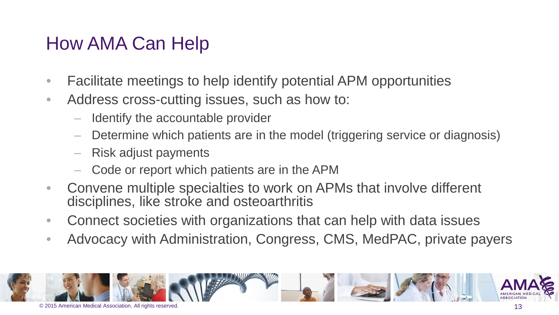### How AMA Can Help

- Facilitate meetings to help identify potential APM opportunities
- Address cross-cutting issues, such as how to:
	- Identify the accountable provider
	- Determine which patients are in the model (triggering service or diagnosis)
	- Risk adjust payments
	- Code or report which patients are in the APM
- Convene multiple specialties to work on APMs that involve different disciplines, like stroke and osteoarthritis
- Connect societies with organizations that can help with data issues
- Advocacy with Administration, Congress, CMS, MedPAC, private payers

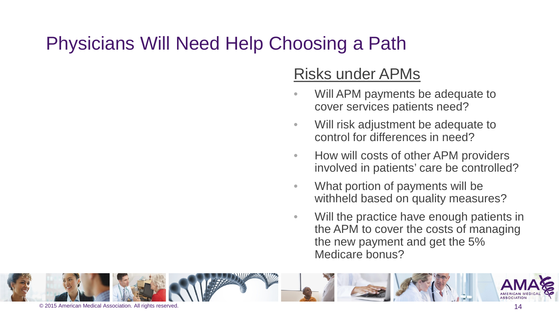### Physicians Will Need Help Choosing a Path

### Risks under APMs

- Will APM payments be adequate to cover services patients need?
- Will risk adjustment be adequate to control for differences in need?
- How will costs of other APM providers involved in patients' care be controlled?
- What portion of payments will be withheld based on quality measures?
- Will the practice have enough patients in the APM to cover the costs of managing the new payment and get the 5% Medicare bonus?

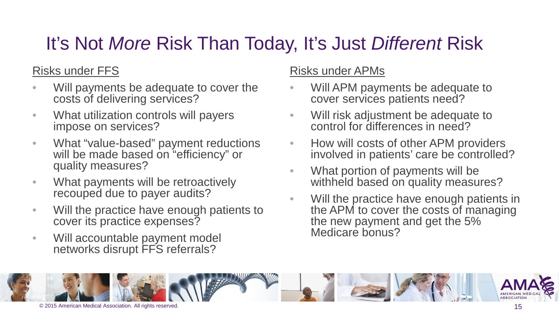## It's Not *More* Risk Than Today, It's Just *Different* Risk

### Risks under FFS

- Will payments be adequate to cover the costs of delivering services?
- What utilization controls will payers impose on services?
- What "value-based" payment reductions will be made based on "efficiency" or quality measures?
- What payments will be retroactively recouped due to payer audits?
- Will the practice have enough patients to cover its practice expenses?
- Will accountable payment model networks disrupt FFS referrals?

### Risks under APMs

- Will APM payments be adequate to cover services patients need?
- Will risk adjustment be adequate to control for differences in need?
- How will costs of other APM providers involved in patients' care be controlled?
- What portion of payments will be withheld based on quality measures?
- Will the practice have enough patients in the APM to cover the costs of managing the new payment and get the 5% Medicare bonus?

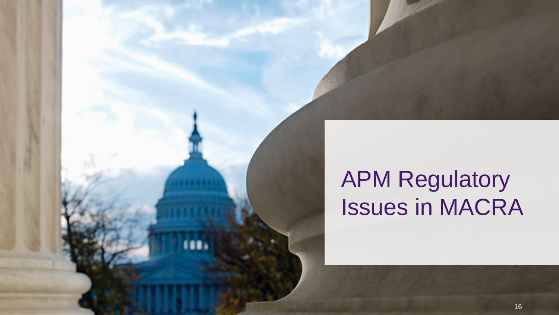## APM Regulatory Issues in MACRA

**TELL**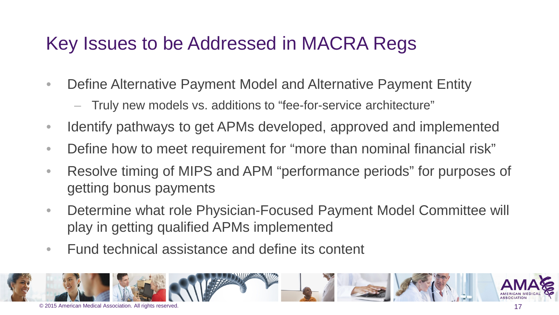### Key Issues to be Addressed in MACRA Regs

- Define Alternative Payment Model and Alternative Payment Entity
	- Truly new models vs. additions to "fee-for-service architecture"
- Identify pathways to get APMs developed, approved and implemented
- Define how to meet requirement for "more than nominal financial risk"
- Resolve timing of MIPS and APM "performance periods" for purposes of getting bonus payments
- Determine what role Physician-Focused Payment Model Committee will play in getting qualified APMs implemented
- Fund technical assistance and define its content